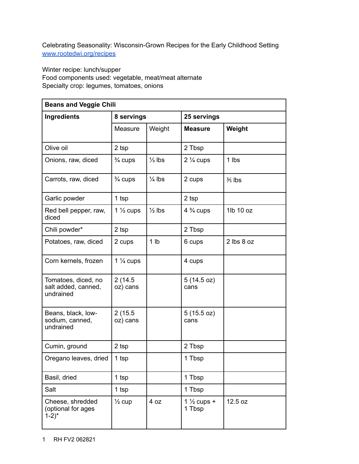Celebrating Seasonality: Wisconsin-Grown Recipes for the Early Childhood Setting www.rootedwi.org/recipes

Winter recipe: lunch/supper

Food components used: vegetable, meat/meat alternate Specialty crop: legumes, tomatoes, onions

| <b>Beans and Veggie Chili</b>                                |                      |                   |                                  |                     |
|--------------------------------------------------------------|----------------------|-------------------|----------------------------------|---------------------|
| Ingredients                                                  | 8 servings           |                   | 25 servings                      |                     |
|                                                              | Measure              | Weight            | <b>Measure</b>                   | Weight              |
| Olive oil                                                    | 2 tsp                |                   | 2 Tbsp                           |                     |
| Onions, raw, diced                                           | $\frac{3}{4}$ cups   | $\frac{1}{3}$ lbs | $2\frac{1}{4}$ cups              | 1 lbs               |
| Carrots, raw, diced                                          | $\frac{3}{4}$ cups   | $\frac{1}{4}$ lbs | 2 cups                           | 3/ <sub>5</sub> lbs |
| Garlic powder                                                | 1 tsp                |                   | 2 tsp                            |                     |
| Red bell pepper, raw,<br>diced                               | 1 $\frac{1}{2}$ cups | $\frac{1}{2}$ lbs | $4\frac{3}{4}$ cups              | 1lb 10 oz           |
| Chili powder*                                                | 2 tsp                |                   | 2 Tbsp                           |                     |
| Potatoes, raw, diced                                         | 2 cups               | 1 <sub>lb</sub>   | 6 cups                           | 2 lbs 8 oz          |
| Corn kernels, frozen                                         | 1 $\frac{1}{4}$ cups |                   | 4 cups                           |                     |
| Tomatoes, diced, no<br>salt added, canned,<br>undrained      | 2 (14.5)<br>oz) cans |                   | 5(14.5 oz)<br>cans               |                     |
| Beans, black, low-<br>sodium, canned,<br>undrained           | 2(15.5)<br>oz) cans  |                   | 5(15.5 oz)<br>cans               |                     |
| Cumin, ground                                                | 2 tsp                |                   | 2 Tbsp                           |                     |
| Oregano leaves, dried                                        | 1 tsp                |                   | 1 Tbsp                           |                     |
| Basil, dried                                                 | 1 tsp                |                   | 1 Tbsp                           |                     |
| Salt                                                         | 1 tsp                |                   | 1 Tbsp                           |                     |
| Cheese, shredded<br>(optional for ages<br>$1-2$ <sup>*</sup> | $\frac{1}{2}$ cup    | 4 oz              | 1 $\frac{1}{2}$ cups +<br>1 Tbsp | 12.5 oz             |